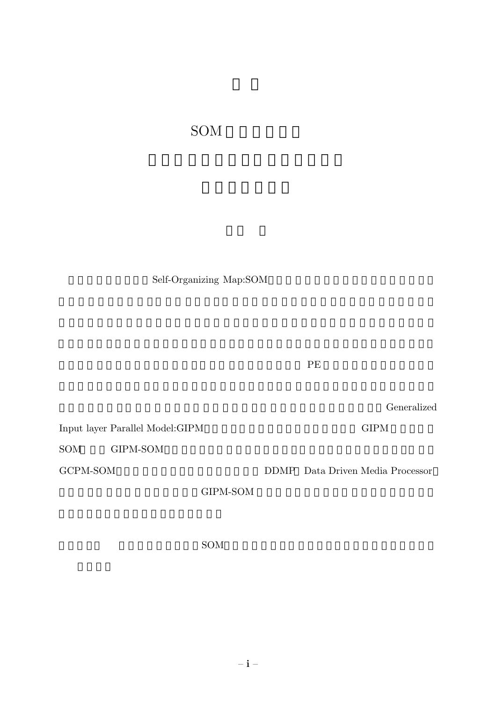SOM

Self-Organizing Map:SOM

 $PE$ 

Generalized

 $\begin{minipage}[c]{0.9\linewidth} \textbf{Input layer Parallel Model: GIPM} \end{minipage} \begin{minipage}[c]{0.9\linewidth} \textbf{Input layer} \end{minipage} \vspace{0.05in} \begin{minipage}[c]{0.9\linewidth} \textbf{Output} \end{minipage} \vspace{0.05in} \begin{minipage}[c]{0.9\linewidth} \textbf{Output} \end{minipage} \vspace{0.05in} \begin{minipage}[c]{0.9\linewidth} \textbf{Output} \end{minipage} \vspace{0.05in} \begin{minipage}[c]{0.9\linewidth} \textbf{Output} \end{minipage} \vspace{$ 

 $SOM$  GIPM-SOM

GCPM-SOM DDMP Data Driven Media Processor

GIPM-SOM

 $SOM$